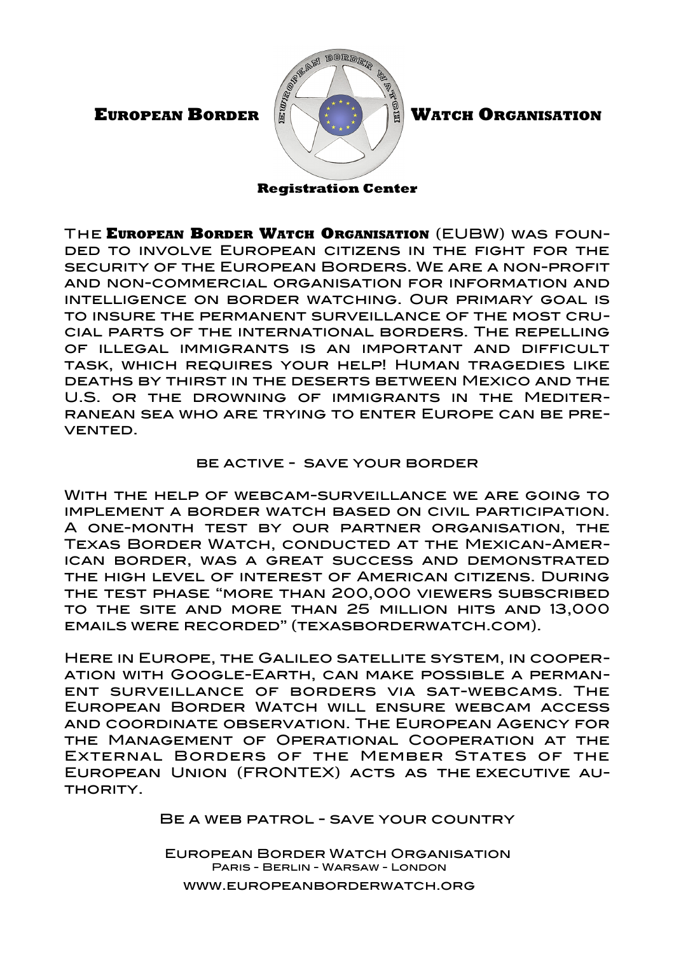

**Registration Center**

The **EUROPEAN BORDER WATCH ORGANISATION** (EUBW) was founded to involve European citizens in the fight for the security of the European Borders. We are a non-profit and non-commercial organisation for information and intelligence on border watching. Our primary goal is to insure the permanent surveillance of the most crucial parts of the international borders. The repelling of illegal immigrants is an important and difficult task, which requires your help! Human tragedies like deaths by thirst in the deserts between Mexico and the U.S. or the drowning of immigrants in the Mediterranean sea who are trying to enter Europe can be prevented.

## be active - save your border

With the help of webcam-surveillance we are going to implement a border watch based on civil participation. A one-month test by our partner organisation, the Texas Border Watch, conducted at the Mexican-American border, was a great success and demonstrated the high level of interest of American citizens. During the test phase "more than 200,000 viewers subscribed to the site and more than 25 million hits and 13,000 emails were recorded" [\(texasborderwatch.com\)](http://www.texasborderwatch.com/).

Here in Europe, the Galileo satellite system, in cooperation with Google-Earth, can make possible a permanent surveillance of borders via sat-webcams. The European Border Watch will ensure webcam access and coordinate observation. The European Agency for the Management of Operational Cooperation at the External Borders of the Member States of the European Union (FRONTEX) acts as the [executive](http://www3.dict.cc/englisch-deutsch/executive.html) [au-](http://www3.dict.cc/englisch-deutsch/authority.html)**THORITY** 

BE A WEB PATROL - SAVE YOUR COUNTRY

European Border Watch Organisation Paris - Berlin - Warsaw - London www.europeanborderwatch.org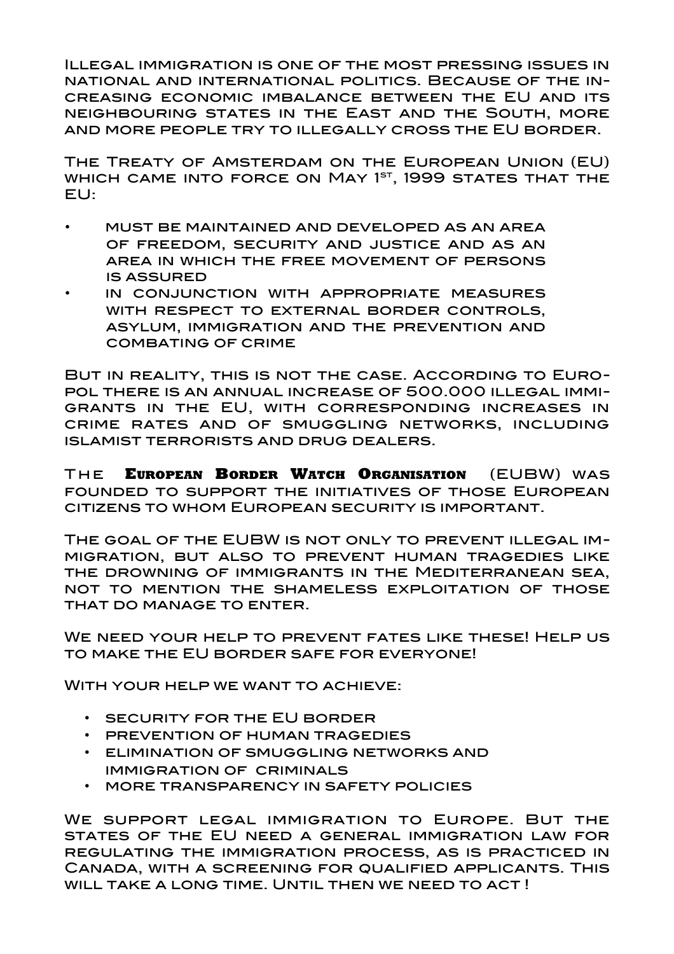Illegal immigration is one of the most pressing issues in national and international politics. Because of the increasing economic imbalance between the EU and its neighbouring states in the East and the South, more and more people try to illegally cross the EU border.

The Treaty of Amsterdam on the European Union (EU) WHICH CAME INTO FORCE ON MAY 1<sup>ST</sup>, 1999 STATES THAT THE EU:

- must be maintained and developed as an area of freedom, security and justice and as an area in which the free movement of persons is assured
- in conjunction with appropriate measures with respect to external border controls, asylum, immigration and the prevention and COMBATING OF CRIME

But in reality, this is not the case. According to Europol there is an annual increase of 500.000 illegal immigrants in the EU, with corresponding increases in crime rates and of smuggling networks, including islamist terrorists and drug dealers.

T he **EUROPEAN BORDER WATCH ORGANISATION** (EUBW) was founded to support the initiatives of those European citizens to whom European security is important.

The goal of the EUBW is not only to prevent illegal immigration, but also to prevent human tragedies like the drowning of immigrants in the Mediterranean sea, not to mention the shameless exploitation of those that do manage to enter.

WE NEED YOUR HELP TO PREVENT FATES LIKE THESE! HELP US to make the EU border safe for everyone!

With your help we want to achieve:

- security for the EU border
- prevention of human tragedies
- elimination of smuggling networks and immigration of criminals
- more transparency in safety policies

We support legal immigration to Europe. But the states of the EU need a general immigration law for regulating the immigration process, as is practiced in Canada, with a screening for qualified applicants. This WILL TAKE A LONG TIME. UNTIL THEN WE NEED TO ACT!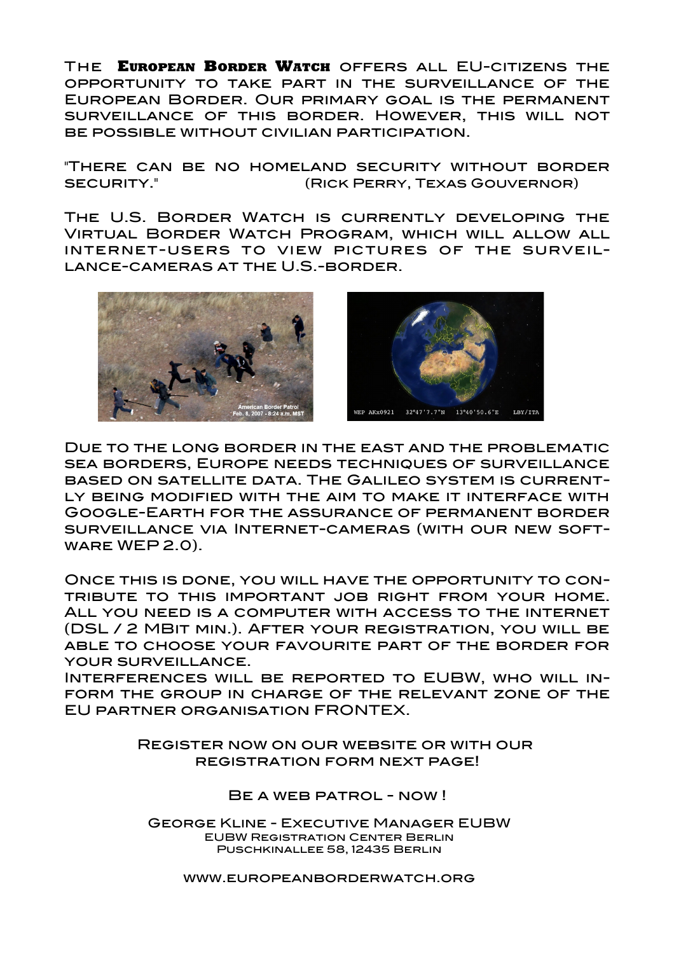The **EUROPEAN BORDER WATCH** offers all EU-citizens the opportunity to take part in the surveillance of the European Border. Our primary goal is the permanent surveillance of this border. However, this will not be possible without civilian participation.

"There can be no homeland security without border SECURITY." I **EXALL REGIST (RICK PERRY, TEXAS GOUVERNOR)** 

The U.S. Border Watch is currently developing the Virtual Border Watch Program, which will allow all internet-users to view pictures of the surveillance-cameras at the U.S.-border.





Due to the long border in the east and the problematic sea borders, Europe needs techniques of surveillance based on satellite data. The Galileo system is currently being modified with the aim to make it interface with Google-Earth for the assurance of permanent border surveillance via Internet-cameras (with our new software WEP 2.0).

Once this is done, you will have the opportunity to contribute to this important job right from your home. All you need is a computer with access to the internet (DSL / 2 MBit min.). After your registration, you will be able to choose your favourite part of the border for your surveillance.

Interferences will be reported to EUBW, who will inform the group in charge of the relevant zone of the EU partner organisation FRONTEX.

> Register now on our website or with our registration form next page!

> > BE A WEB PATROL - NOW !

George Kline - Executive Manager EUBW EUBW Registration Center Berlin Puschkinallee 58, 12435 Berlin

www.europeanborderwatch.org